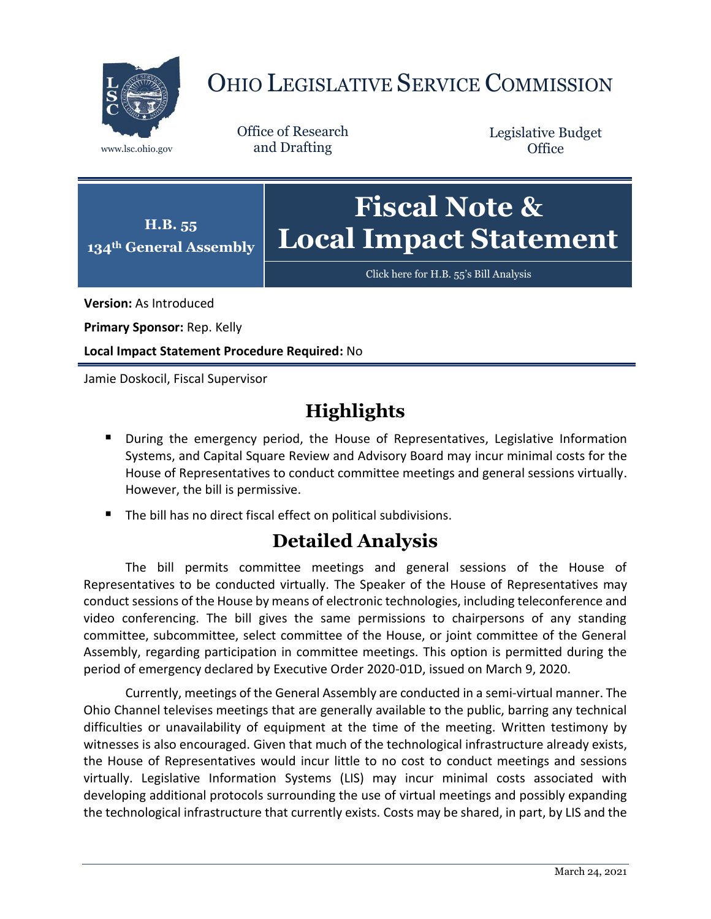

## OHIO LEGISLATIVE SERVICE COMMISSION

Office of Research www.lsc.ohio.gov and Drafting

Legislative Budget **Office** 



Click here for [H.B. 55's Bill Analysis](https://www.legislature.ohio.gov/legislation/legislation-documents?id=GA134-HB-55)

**Version:** As Introduced

**Primary Sponsor:** Rep. Kelly

**Local Impact Statement Procedure Required:** No

Jamie Doskocil, Fiscal Supervisor

## **Highlights**

- **During the emergency period, the House of Representatives, Legislative Information** Systems, and Capital Square Review and Advisory Board may incur minimal costs for the House of Representatives to conduct committee meetings and general sessions virtually. However, the bill is permissive.
- The bill has no direct fiscal effect on political subdivisions.

## **Detailed Analysis**

The bill permits committee meetings and general sessions of the House of Representatives to be conducted virtually. The Speaker of the House of Representatives may conduct sessions of the House by means of electronic technologies, including teleconference and video conferencing. The bill gives the same permissions to chairpersons of any standing committee, subcommittee, select committee of the House, or joint committee of the General Assembly, regarding participation in committee meetings. This option is permitted during the period of emergency declared by Executive Order 2020-01D, issued on March 9, 2020.

Currently, meetings of the General Assembly are conducted in a semi-virtual manner. The Ohio Channel televises meetings that are generally available to the public, barring any technical difficulties or unavailability of equipment at the time of the meeting. Written testimony by witnesses is also encouraged. Given that much of the technological infrastructure already exists, the House of Representatives would incur little to no cost to conduct meetings and sessions virtually. Legislative Information Systems (LIS) may incur minimal costs associated with developing additional protocols surrounding the use of virtual meetings and possibly expanding the technological infrastructure that currently exists. Costs may be shared, in part, by LIS and the